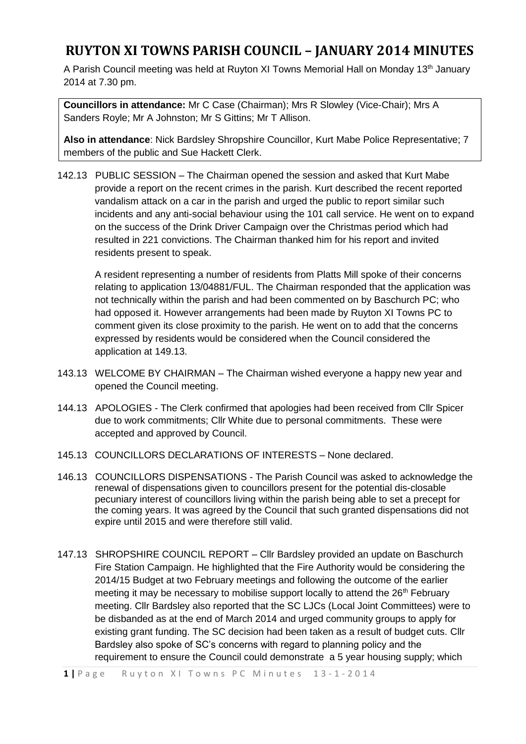A Parish Council meeting was held at Ruyton XI Towns Memorial Hall on Monday 13<sup>th</sup> January 2014 at 7.30 pm.

**Councillors in attendance:** Mr C Case (Chairman); Mrs R Slowley (Vice-Chair); Mrs A Sanders Royle; Mr A Johnston; Mr S Gittins; Mr T Allison.

**Also in attendance**: Nick Bardsley Shropshire Councillor, Kurt Mabe Police Representative; 7 members of the public and Sue Hackett Clerk.

142.13 PUBLIC SESSION – The Chairman opened the session and asked that Kurt Mabe provide a report on the recent crimes in the parish. Kurt described the recent reported vandalism attack on a car in the parish and urged the public to report similar such incidents and any anti-social behaviour using the 101 call service. He went on to expand on the success of the Drink Driver Campaign over the Christmas period which had resulted in 221 convictions. The Chairman thanked him for his report and invited residents present to speak.

A resident representing a number of residents from Platts Mill spoke of their concerns relating to application 13/04881/FUL. The Chairman responded that the application was not technically within the parish and had been commented on by Baschurch PC; who had opposed it. However arrangements had been made by Ruyton XI Towns PC to comment given its close proximity to the parish. He went on to add that the concerns expressed by residents would be considered when the Council considered the application at 149.13.

- 143.13 WELCOME BY CHAIRMAN The Chairman wished everyone a happy new year and opened the Council meeting.
- 144.13 APOLOGIES The Clerk confirmed that apologies had been received from Cllr Spicer due to work commitments; Cllr White due to personal commitments. These were accepted and approved by Council.
- 145.13 COUNCILLORS DECLARATIONS OF INTERESTS None declared.
- 146.13 COUNCILLORS DISPENSATIONS The Parish Council was asked to acknowledge the renewal of dispensations given to councillors present for the potential dis-closable pecuniary interest of councillors living within the parish being able to set a precept for the coming years. It was agreed by the Council that such granted dispensations did not expire until 2015 and were therefore still valid.
- 147.13 SHROPSHIRE COUNCIL REPORT Cllr Bardsley provided an update on Baschurch Fire Station Campaign. He highlighted that the Fire Authority would be considering the 2014/15 Budget at two February meetings and following the outcome of the earlier meeting it may be necessary to mobilise support locally to attend the 26<sup>th</sup> February meeting. Cllr Bardsley also reported that the SC LJCs (Local Joint Committees) were to be disbanded as at the end of March 2014 and urged community groups to apply for existing grant funding. The SC decision had been taken as a result of budget cuts. Cllr Bardsley also spoke of SC's concerns with regard to planning policy and the requirement to ensure the Council could demonstrate a 5 year housing supply; which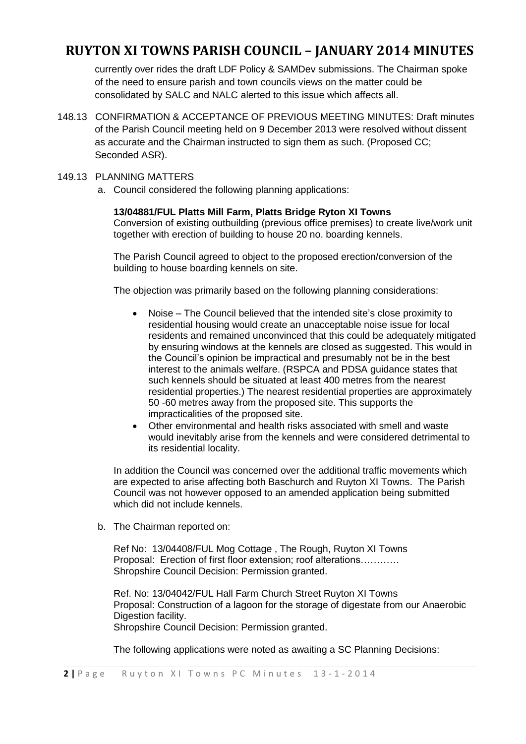currently over rides the draft LDF Policy & SAMDev submissions. The Chairman spoke of the need to ensure parish and town councils views on the matter could be consolidated by SALC and NALC alerted to this issue which affects all.

148.13 CONFIRMATION & ACCEPTANCE OF PREVIOUS MEETING MINUTES: Draft minutes of the Parish Council meeting held on 9 December 2013 were resolved without dissent as accurate and the Chairman instructed to sign them as such. (Proposed CC; Seconded ASR).

#### 149.13 PLANNING MATTERS

a. Council considered the following planning applications:

### **13/04881/FUL Platts Mill Farm, Platts Bridge Ryton XI Towns**

Conversion of existing outbuilding (previous office premises) to create live/work unit together with erection of building to house 20 no. boarding kennels.

The Parish Council agreed to object to the proposed erection/conversion of the building to house boarding kennels on site.

The objection was primarily based on the following planning considerations:

- Noise The Council believed that the intended site's close proximity to residential housing would create an unacceptable noise issue for local residents and remained unconvinced that this could be adequately mitigated by ensuring windows at the kennels are closed as suggested. This would in the Council's opinion be impractical and presumably not be in the best interest to the animals welfare. (RSPCA and PDSA guidance states that such kennels should be situated at least 400 metres from the nearest residential properties.) The nearest residential properties are approximately 50 -60 metres away from the proposed site. This supports the impracticalities of the proposed site.
- Other environmental and health risks associated with smell and waste would inevitably arise from the kennels and were considered detrimental to its residential locality.

In addition the Council was concerned over the additional traffic movements which are expected to arise affecting both Baschurch and Ruyton XI Towns. The Parish Council was not however opposed to an amended application being submitted which did not include kennels.

b. The Chairman reported on:

Ref No: 13/04408/FUL Mog Cottage , The Rough, Ruyton XI Towns Proposal: Erection of first floor extension; roof alterations………… Shropshire Council Decision: Permission granted.

Ref. No: 13/04042/FUL Hall Farm Church Street Ruyton XI Towns Proposal: Construction of a lagoon for the storage of digestate from our Anaerobic Digestion facility. Shropshire Council Decision: Permission granted.

The following applications were noted as awaiting a SC Planning Decisions: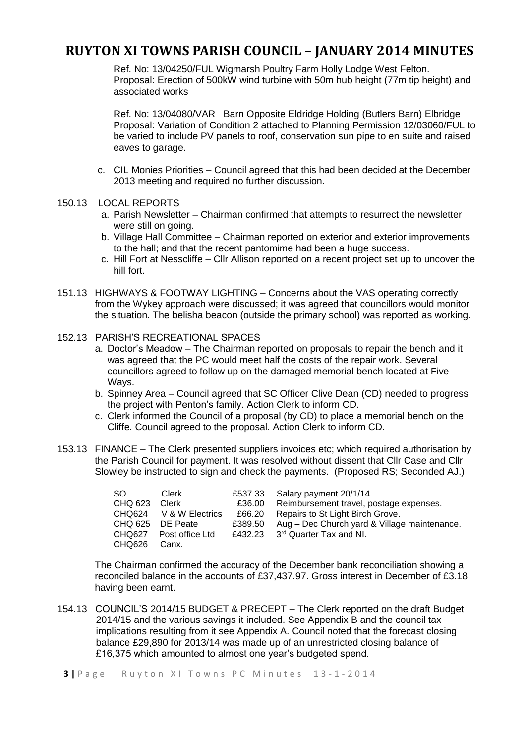Ref. No: 13/04250/FUL Wigmarsh Poultry Farm Holly Lodge West Felton. Proposal: Erection of 500kW wind turbine with 50m hub height (77m tip height) and associated works

Ref. No: 13/04080/VAR Barn Opposite Eldridge Holding (Butlers Barn) Elbridge Proposal: Variation of Condition 2 attached to Planning Permission 12/03060/FUL to be varied to include PV panels to roof, conservation sun pipe to en suite and raised eaves to garage.

- c. CIL Monies Priorities Council agreed that this had been decided at the December 2013 meeting and required no further discussion.
- 150.13 LOCAL REPORTS
	- a. Parish Newsletter Chairman confirmed that attempts to resurrect the newsletter were still on going.
	- b. Village Hall Committee Chairman reported on exterior and exterior improvements to the hall; and that the recent pantomime had been a huge success.
	- c. Hill Fort at Nesscliffe Cllr Allison reported on a recent project set up to uncover the hill fort.
- 151.13 HIGHWAYS & FOOTWAY LIGHTING Concerns about the VAS operating correctly from the Wykey approach were discussed; it was agreed that councillors would monitor the situation. The belisha beacon (outside the primary school) was reported as working.
- 152.13 PARISH'S RECREATIONAL SPACES
	- a. Doctor's Meadow The Chairman reported on proposals to repair the bench and it was agreed that the PC would meet half the costs of the repair work. Several councillors agreed to follow up on the damaged memorial bench located at Five Wavs.
	- b. Spinney Area Council agreed that SC Officer Clive Dean (CD) needed to progress the project with Penton's family. Action Clerk to inform CD.
	- c. Clerk informed the Council of a proposal (by CD) to place a memorial bench on the Cliffe. Council agreed to the proposal. Action Clerk to inform CD.
- 153.13 FINANCE The Clerk presented suppliers invoices etc; which required authorisation by the Parish Council for payment. It was resolved without dissent that Cllr Case and Cllr Slowley be instructed to sign and check the payments. (Proposed RS; Seconded AJ.)

| SO.              | Clerk                  | £537.33 | Salary payment 20/1/14                       |
|------------------|------------------------|---------|----------------------------------------------|
| CHQ 623 Clerk    |                        | £36.00  | Reimbursement travel, postage expenses.      |
|                  | CHQ624 V & W Electrics | £66.20  | Repairs to St Light Birch Grove.             |
| CHQ 625 DE Peate |                        | £389.50 | Aug - Dec Church yard & Village maintenance. |
|                  | CHQ627 Post office Ltd | £432.23 | 3 <sup>rd</sup> Quarter Tax and NI.          |
| CHQ626           | Canx.                  |         |                                              |

The Chairman confirmed the accuracy of the December bank reconciliation showing a reconciled balance in the accounts of £37,437.97. Gross interest in December of £3.18 having been earnt.

154.13 COUNCIL'S 2014/15 BUDGET & PRECEPT – The Clerk reported on the draft Budget 2014/15 and the various savings it included. See Appendix B and the council tax implications resulting from it see Appendix A. Council noted that the forecast closing balance £29,890 for 2013/14 was made up of an unrestricted closing balance of £16,375 which amounted to almost one year's budgeted spend.